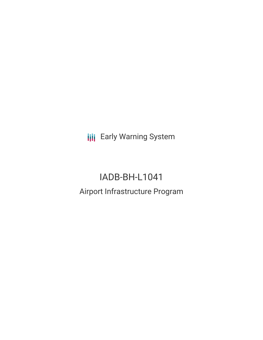**III** Early Warning System

# IADB-BH-L1041 Airport Infrastructure Program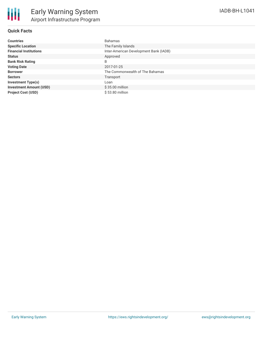## **Quick Facts**

| <b>Countries</b>               | <b>Bahamas</b>                         |
|--------------------------------|----------------------------------------|
| <b>Specific Location</b>       | The Family Islands                     |
| <b>Financial Institutions</b>  | Inter-American Development Bank (IADB) |
| <b>Status</b>                  | Approved                               |
| <b>Bank Risk Rating</b>        | B                                      |
| <b>Voting Date</b>             | 2017-01-25                             |
| <b>Borrower</b>                | The Commonwealth of The Bahamas        |
| <b>Sectors</b>                 | Transport                              |
| <b>Investment Type(s)</b>      | Loan                                   |
| <b>Investment Amount (USD)</b> | $$35.00$ million                       |
| <b>Project Cost (USD)</b>      | \$53.80 million                        |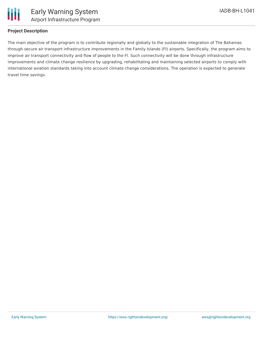

## **Project Description**

The main objective of the program is to contribute regionally and globally to the sustainable integration of The Bahamas through secure air transport infrastructure improvements in the Family Islands (FI) airports. Specifically, the program aims to improve air transport connectivity and flow of people to the FI. Such connectivity will be done through infrastructure improvements and climate change resilience by upgrading, rehabilitating and maintaining selected airports to comply with international aviation standards taking into account climate change considerations. The operation is expected to generate travel time savings.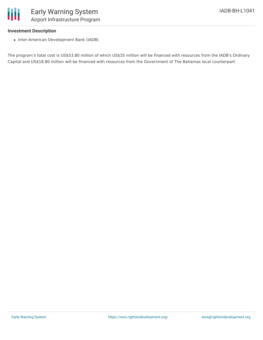

#### **Investment Description**

• Inter-American Development Bank (IADB)

The program's total cost is US\$53.80 million of which US\$35 million will be financed with resources from the IADB's Ordinary Capital and US\$18.80 million will be financed with resources from the Government of The Bahamas local counterpart.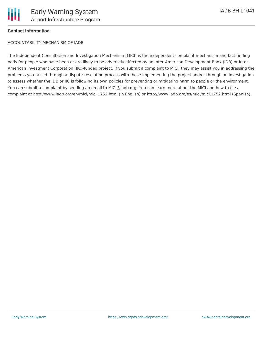

### **Contact Information**

ACCOUNTABILITY MECHANISM OF IADB

The Independent Consultation and Investigation Mechanism (MICI) is the independent complaint mechanism and fact-finding body for people who have been or are likely to be adversely affected by an Inter-American Development Bank (IDB) or Inter-American Investment Corporation (IIC)-funded project. If you submit a complaint to MICI, they may assist you in addressing the problems you raised through a dispute-resolution process with those implementing the project and/or through an investigation to assess whether the IDB or IIC is following its own policies for preventing or mitigating harm to people or the environment. You can submit a complaint by sending an email to MICI@iadb.org. You can learn more about the MICI and how to file a complaint at http://www.iadb.org/en/mici/mici,1752.html (in English) or http://www.iadb.org/es/mici/mici,1752.html (Spanish).